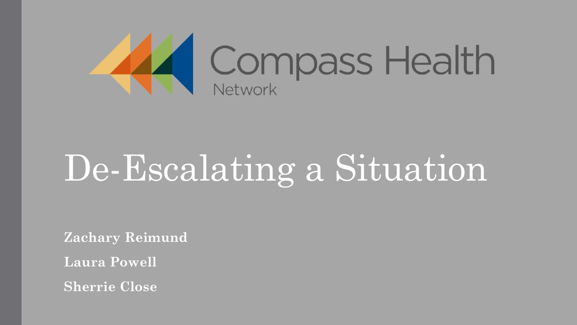

### De-Escalating a Situation

**Zachary Reimund**

**Laura Powell**

**Sherrie Close**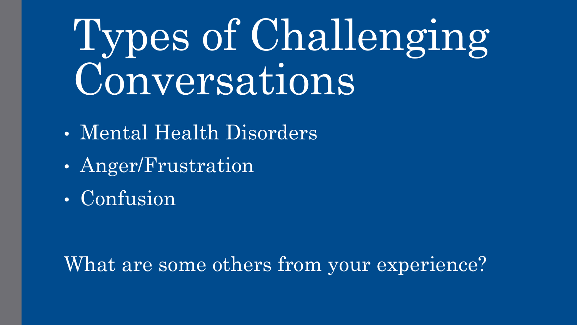### Types of Challenging Conversations

- Mental Health Disorders
- Anger/Frustration
- Confusion

#### What are some others from your experience?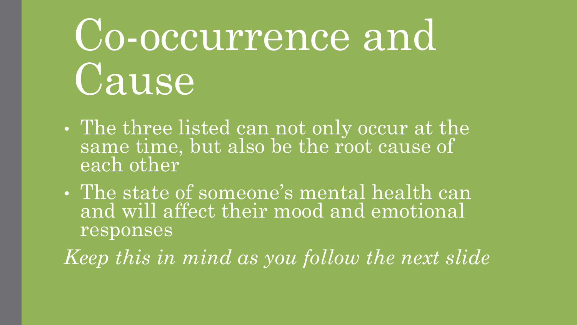### Co-occurrence and Cause

- The three listed can not only occur at the same time, but also be the root cause of each other
- The state of someone's mental health can and will affect their mood and emotional responses

*Keep this in mind as you follow the next slide*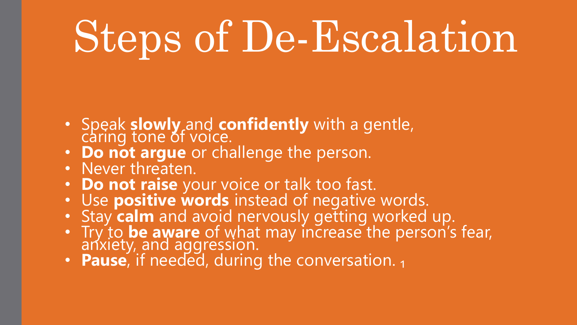## Steps of De-Escalation

- Speak **slowly** and **confidently** with a gentle,
- **Do not argue** or challenge the person.
- Never threaten.
- **Do not raise** your voice or talk too fast.
- Use **positive words** instead of negative words.
- Stay **calm** and avoid nervously getting worked up.
- Try to **be aware** of what may increase the person's fear, anxiety, and aggression.
- **Pause**, if needed, during the conversation. 1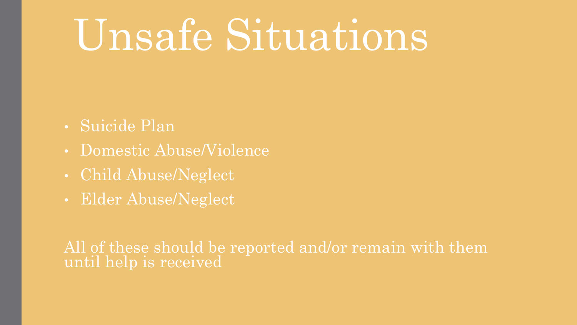### Unsafe Situations

- Suicide Plan
- Domestic Abuse/Violence
- Child Abuse/Neglect
- Elder Abuse/Neglect

All of these should be reported and/or remain with them until help is received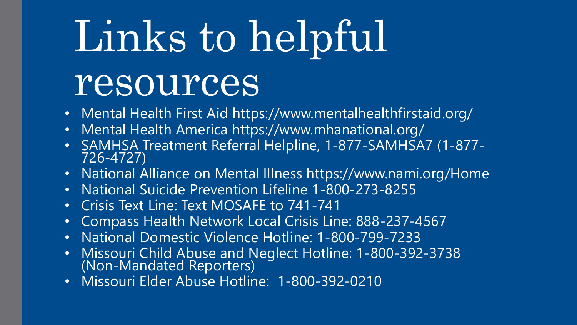# Links to helpful

### resources

- Mental Health First Aid https://www.mentalhealthfirstaid.org/
- Mental Health America https://www.mhanational.org/
- SAMHSA Treatment Referral Helpline, 1-877-SAMHSA7 (1-877- 726-4727)
- National Alliance on Mental Illness https://www.nami.org/Home
- National Suicide Prevention Lifeline 1-800-273-8255
- Crisis Text Line: Text MOSAFE to 741-741
- Compass Health Network Local Crisis Line: 888-237-4567
- National Domestic Violence Hotline: 1-800-799-7233
- Missouri Child Abuse and Neglect Hotline: 1-800-392-3738 (Non-Mandated Reporters)
- Missouri Elder Abuse Hotline: 1-800-392-0210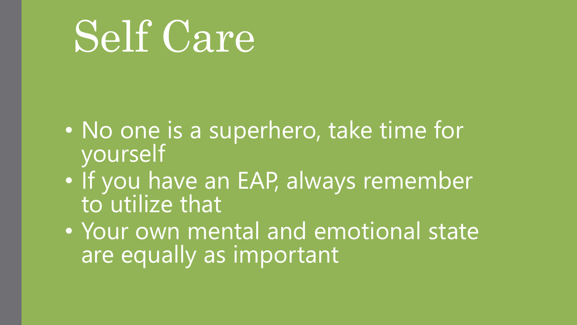### Self Care

- No one is a superhero, take time for yourself
- If you have an EAP, always remember to utilize that
- Your own mental and emotional state are equally as important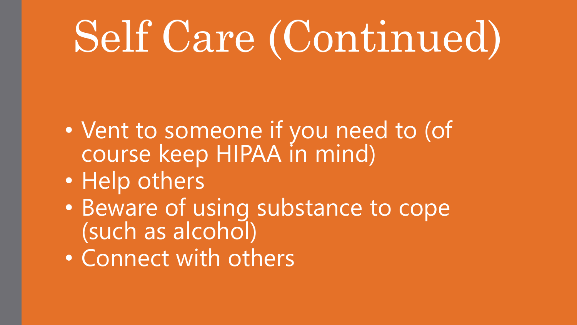## Self Care (Continued)

- Vent to someone if you need to (of course keep HIPAA in mind)
- Help others
- Beware of using substance to cope (such as alcohol)
- Connect with others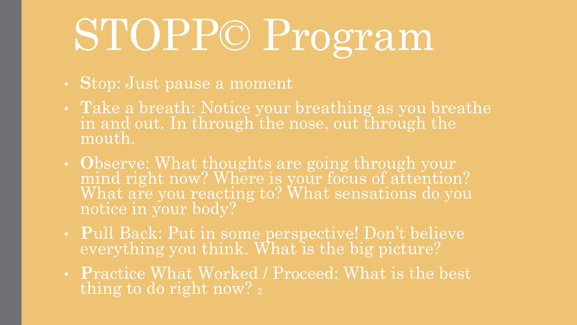### STOPP© Program

- **S**top: Just pause a moment
- **T**ake a breath: Notice your breathing as you breathe in and out. In through the nose, out through the mouth.
- **O**bserve: What thoughts are going through your mind right now? Where is your focus of attention? What are you reacting to? What sensations do you notice in your body?
- **P**ull Back: Put in some perspective! Don't believe everything you think. What is the big picture?
- **P**ractice What Worked / Proceed: What is the best thing to do right now? 2